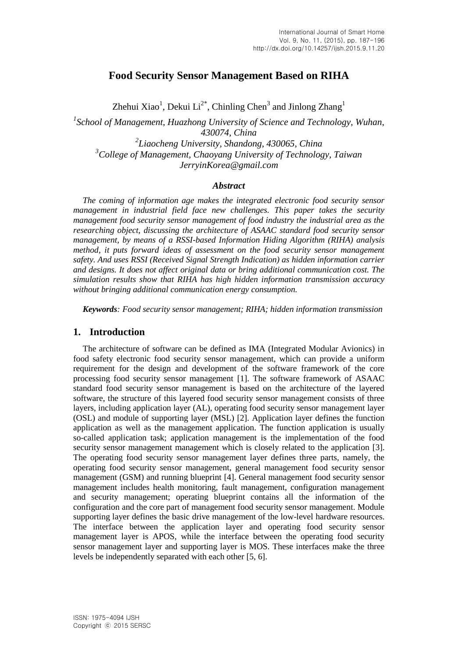# **Food Security Sensor Management Based on RIHA**

Zhehui Xiao<sup>1</sup>, Dekui Li<sup>2\*</sup>, Chinling Chen<sup>3</sup> and Jinlong Zhang<sup>1</sup>

<sup>1</sup> School of Management, Huazhong University of Science and Technology, Wuhan, *430074, China 2 Liaocheng University, Shandong, 430065, China <sup>3</sup>College of Management, Chaoyang University of Technology, Taiwan JerryinKorea@gmail.com*

## *Abstract*

*The coming of information age makes the integrated electronic food security sensor management in industrial field face new challenges. This paper takes the security management food security sensor management of food industry the industrial area as the researching object, discussing the architecture of ASAAC standard food security sensor management, by means of a RSSI-based Information Hiding Algorithm (RIHA) analysis method, it puts forward ideas of assessment on the food security sensor management safety. And uses RSSI (Received Signal Strength Indication) as hidden information carrier and designs. It does not affect original data or bring additional communication cost. The simulation results show that RIHA has high hidden information transmission accuracy without bringing additional communication energy consumption.*

*Keywords: Food security sensor management; RIHA; hidden information transmission*

# **1. Introduction**

The architecture of software can be defined as IMA (Integrated Modular Avionics) in food safety electronic food security sensor management, which can provide a uniform requirement for the design and development of the software framework of the core processing food security sensor management [1]. The software framework of ASAAC standard food security sensor management is based on the architecture of the layered software, the structure of this layered food security sensor management consists of three layers, including application layer (AL), operating food security sensor management layer (OSL) and module of supporting layer (MSL) [2]. Application layer defines the function application as well as the management application. The function application is usually so-called application task; application management is the implementation of the food security sensor management management which is closely related to the application [3]. The operating food security sensor management layer defines three parts, namely, the operating food security sensor management, general management food security sensor management (GSM) and running blueprint [4]. General management food security sensor management includes health monitoring, fault management, configuration management and security management; operating blueprint contains all the information of the configuration and the core part of management food security sensor management. Module supporting layer defines the basic drive management of the low-level hardware resources. The interface between the application layer and operating food security sensor management layer is APOS, while the interface between the operating food security sensor management layer and supporting layer is MOS. These interfaces make the three levels be independently separated with each other [5, 6].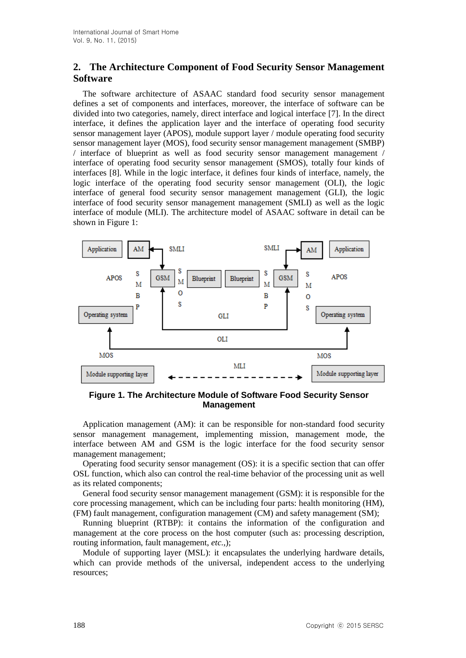# **2. The Architecture Component of Food Security Sensor Management Software**

The software architecture of ASAAC standard food security sensor management defines a set of components and interfaces, moreover, the interface of software can be divided into two categories, namely, direct interface and logical interface [7]. In the direct interface, it defines the application layer and the interface of operating food security sensor management layer (APOS), module support layer / module operating food security sensor management layer (MOS), food security sensor management management (SMBP) / interface of blueprint as well as food security sensor management management / interface of operating food security sensor management (SMOS), totally four kinds of interfaces [8]. While in the logic interface, it defines four kinds of interface, namely, the logic interface of the operating food security sensor management (OLI), the logic interface of general food security sensor management management (GLI), the logic interface of food security sensor management management (SMLI) as well as the logic interface of module (MLI). The architecture model of ASAAC software in detail can be shown in Figure 1:



**Figure 1. The Architecture Module of Software Food Security Sensor Management**

Application management (AM): it can be responsible for non-standard food security sensor management management, implementing mission, management mode, the interface between AM and GSM is the logic interface for the food security sensor management management;

Operating food security sensor management (OS): it is a specific section that can offer OSL function, which also can control the real-time behavior of the processing unit as well as its related components;

General food security sensor management management (GSM): it is responsible for the core processing management, which can be including four parts: health monitoring (HM), (FM) fault management, configuration management (CM) and safety management (SM);

Running blueprint (RTBP): it contains the information of the configuration and management at the core process on the host computer (such as: processing description, routing information, fault management, *etc.*,);

Module of supporting layer (MSL): it encapsulates the underlying hardware details, which can provide methods of the universal, independent access to the underlying resources;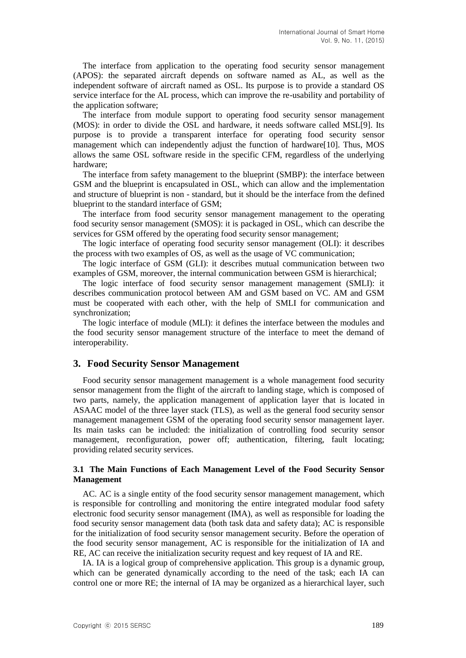The interface from application to the operating food security sensor management (APOS): the separated aircraft depends on software named as AL, as well as the independent software of aircraft named as OSL. Its purpose is to provide a standard OS service interface for the AL process, which can improve the re-usability and portability of the application software;

The interface from module support to operating food security sensor management (MOS): in order to divide the OSL and hardware, it needs software called MSL[9]. Its purpose is to provide a transparent interface for operating food security sensor management which can independently adjust the function of hardware[10]. Thus, MOS allows the same OSL software reside in the specific CFM, regardless of the underlying hardware;

The interface from safety management to the blueprint (SMBP): the interface between GSM and the blueprint is encapsulated in OSL, which can allow and the implementation and structure of blueprint is non - standard, but it should be the interface from the defined blueprint to the standard interface of GSM;

The interface from food security sensor management management to the operating food security sensor management (SMOS): it is packaged in OSL, which can describe the services for GSM offered by the operating food security sensor management;

The logic interface of operating food security sensor management (OLI): it describes the process with two examples of OS, as well as the usage of VC communication;

The logic interface of GSM (GLI): it describes mutual communication between two examples of GSM, moreover, the internal communication between GSM is hierarchical;

The logic interface of food security sensor management management (SMLI): it describes communication protocol between AM and GSM based on VC. AM and GSM must be cooperated with each other, with the help of SMLI for communication and synchronization;

The logic interface of module (MLI): it defines the interface between the modules and the food security sensor management structure of the interface to meet the demand of interoperability.

## **3. Food Security Sensor Management**

Food security sensor management management is a whole management food security sensor management from the flight of the aircraft to landing stage, which is composed of two parts, namely, the application management of application layer that is located in ASAAC model of the three layer stack (TLS), as well as the general food security sensor management management GSM of the operating food security sensor management layer. Its main tasks can be included: the initialization of controlling food security sensor management, reconfiguration, power off; authentication, filtering, fault locating; providing related security services.

#### **3.1 The Main Functions of Each Management Level of the Food Security Sensor Management**

AC. AC is a single entity of the food security sensor management management, which is responsible for controlling and monitoring the entire integrated modular food safety electronic food security sensor management (IMA), as well as responsible for loading the food security sensor management data (both task data and safety data); AC is responsible for the initialization of food security sensor management security. Before the operation of the food security sensor management, AC is responsible for the initialization of IA and RE, AC can receive the initialization security request and key request of IA and RE.

IA. IA is a logical group of comprehensive application. This group is a dynamic group, which can be generated dynamically according to the need of the task; each IA can control one or more RE; the internal of IA may be organized as a hierarchical layer, such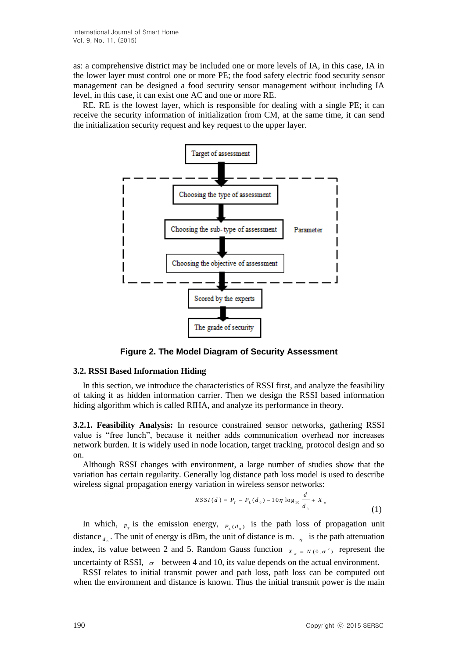as: a comprehensive district may be included one or more levels of IA, in this case, IA in the lower layer must control one or more PE; the food safety electric food security sensor management can be designed a food security sensor management without including IA level, in this case, it can exist one AC and one or more RE.

RE. RE is the lowest layer, which is responsible for dealing with a single PE; it can receive the security information of initialization from CM, at the same time, it can send the initialization security request and key request to the upper layer.



**Figure 2. The Model Diagram of Security Assessment**

## **3.2. RSSI Based Information Hiding**

In this section, we introduce the characteristics of RSSI first, and analyze the feasibility of taking it as hidden information carrier. Then we design the RSSI based information hiding algorithm which is called RIHA, and analyze its performance in theory.

**3.2.1. Feasibility Analysis:** In resource constrained sensor networks, gathering RSSI value is "free lunch", because it neither adds communication overhead nor increases network burden. It is widely used in node location, target tracking, protocol design and so on.

Although RSSI changes with environment, a large number of studies show that the variation has certain regularity. Generally log distance path loss model is used to describe wireless signal propagation energy variation in wireless sensor networks:

$$
RSSI(d) = P_{T} - P_{L}(d_{0}) - 10\eta \log_{10} \frac{d}{d_{0}} + X_{\sigma}
$$
\n(1)

In which,  $P_{\tau}$  is the emission energy,  $P_{\tau}(d_{\sigma})$  is the path loss of propagation unit distance  $d_{\alpha}$ . The unit of energy is dBm, the unit of distance is m.  $\eta$  is the path attenuation index, its value between 2 and 5. Random Gauss function  $X_{\sigma} = N(0, \sigma^2)$  represent the uncertainty of RSSI,  $\sigma$  between 4 and 10, its value depends on the actual environment.

RSSI relates to initial transmit power and path loss, path loss can be computed out when the environment and distance is known. Thus the initial transmit power is the main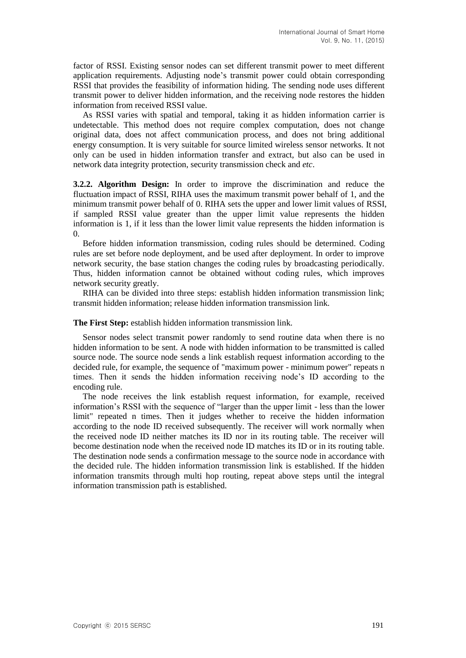factor of RSSI. Existing sensor nodes can set different transmit power to meet different application requirements. Adjusting node's transmit power could obtain corresponding RSSI that provides the feasibility of information hiding. The sending node uses different transmit power to deliver hidden information, and the receiving node restores the hidden information from received RSSI value.

As RSSI varies with spatial and temporal, taking it as hidden information carrier is undetectable. This method does not require complex computation, does not change original data, does not affect communication process, and does not bring additional energy consumption. It is very suitable for source limited wireless sensor networks. It not only can be used in hidden information transfer and extract, but also can be used in network data integrity protection, security transmission check and *etc*.

**3.2.2. Algorithm Design:** In order to improve the discrimination and reduce the fluctuation impact of RSSI, RIHA uses the maximum transmit power behalf of 1, and the minimum transmit power behalf of 0. RIHA sets the upper and lower limit values of RSSI, if sampled RSSI value greater than the upper limit value represents the hidden information is 1, if it less than the lower limit value represents the hidden information is 0.

Before hidden information transmission, coding rules should be determined. Coding rules are set before node deployment, and be used after deployment. In order to improve network security, the base station changes the coding rules by broadcasting periodically. Thus, hidden information cannot be obtained without coding rules, which improves network security greatly.

RIHA can be divided into three steps: establish hidden information transmission link; transmit hidden information; release hidden information transmission link.

**The First Step:** establish hidden information transmission link.

Sensor nodes select transmit power randomly to send routine data when there is no hidden information to be sent. A node with hidden information to be transmitted is called source node. The source node sends a link establish request information according to the decided rule, for example, the sequence of "maximum power - minimum power" repeats n times. Then it sends the hidden information receiving node's ID according to the encoding rule.

The node receives the link establish request information, for example, received information's RSSI with the sequence of "larger than the upper limit - less than the lower limit" repeated n times. Then it judges whether to receive the hidden information according to the node ID received subsequently. The receiver will work normally when the received node ID neither matches its ID nor in its routing table. The receiver will become destination node when the received node ID matches its ID or in its routing table. The destination node sends a confirmation message to the source node in accordance with the decided rule. The hidden information transmission link is established. If the hidden information transmits through multi hop routing, repeat above steps until the integral information transmission path is established.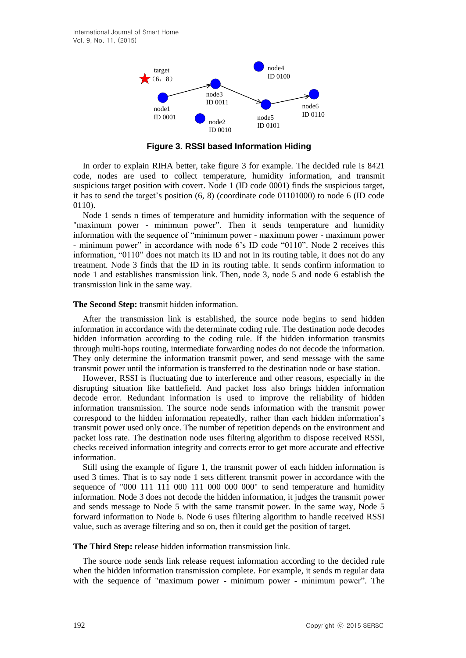

**Figure 3. RSSI based Information Hiding**

In order to explain RIHA better, take figure 3 for example. The decided rule is 8421 code, nodes are used to collect temperature, humidity information, and transmit suspicious target position with covert. Node 1 (ID code 0001) finds the suspicious target, it has to send the target's position (6, 8) (coordinate code 01101000) to node 6 (ID code 0110).

Node 1 sends n times of temperature and humidity information with the sequence of "maximum power - minimum power". Then it sends temperature and humidity information with the sequence of "minimum power - maximum power - maximum power - minimum power" in accordance with node 6's ID code "0110". Node 2 receives this information, "0110" does not match its ID and not in its routing table, it does not do any treatment. Node 3 finds that the ID in its routing table. It sends confirm information to node 1 and establishes transmission link. Then, node 3, node 5 and node 6 establish the transmission link in the same way.

#### **The Second Step:** transmit hidden information.

After the transmission link is established, the source node begins to send hidden information in accordance with the determinate coding rule. The destination node decodes hidden information according to the coding rule. If the hidden information transmits through multi-hops routing, intermediate forwarding nodes do not decode the information. They only determine the information transmit power, and send message with the same transmit power until the information is transferred to the destination node or base station.

However, RSSI is fluctuating due to interference and other reasons, especially in the disrupting situation like battlefield. And packet loss also brings hidden information decode error. Redundant information is used to improve the reliability of hidden information transmission. The source node sends information with the transmit power correspond to the hidden information repeatedly, rather than each hidden information's transmit power used only once. The number of repetition depends on the environment and packet loss rate. The destination node uses filtering algorithm to dispose received RSSI, checks received information integrity and corrects error to get more accurate and effective information.

Still using the example of figure 1, the transmit power of each hidden information is used 3 times. That is to say node 1 sets different transmit power in accordance with the sequence of "000 111 111 000 111 000 000 000" to send temperature and humidity information. Node 3 does not decode the hidden information, it judges the transmit power and sends message to Node 5 with the same transmit power. In the same way, Node 5 forward information to Node 6. Node 6 uses filtering algorithm to handle received RSSI value, such as average filtering and so on, then it could get the position of target.

## **The Third Step:** release hidden information transmission link.

The source node sends link release request information according to the decided rule when the hidden information transmission complete. For example, it sends m regular data with the sequence of "maximum power - minimum power - minimum power". The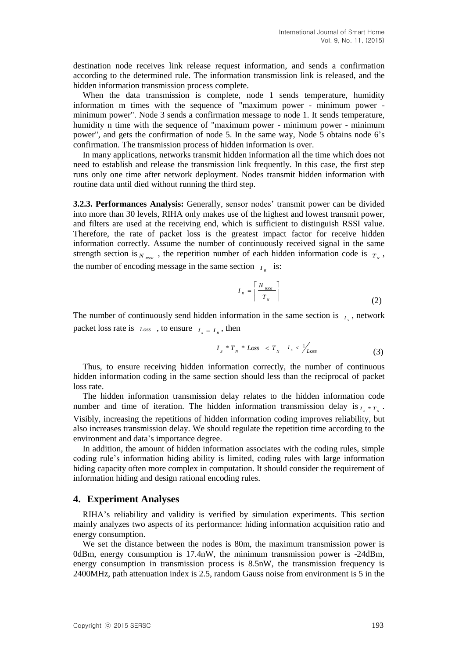destination node receives link release request information, and sends a confirmation according to the determined rule. The information transmission link is released, and the hidden information transmission process complete.

When the data transmission is complete, node 1 sends temperature, humidity information m times with the sequence of "maximum power - minimum power minimum power". Node 3 sends a confirmation message to node 1. It sends temperature, humidity n time with the sequence of "maximum power - minimum power - minimum power", and gets the confirmation of node 5. In the same way, Node 5 obtains node 6's confirmation. The transmission process of hidden information is over.

In many applications, networks transmit hidden information all the time which does not need to establish and release the transmission link frequently. In this case, the first step runs only one time after network deployment. Nodes transmit hidden information with routine data until died without running the third step.

**3.2.3. Performances Analysis:** Generally, sensor nodes' transmit power can be divided into more than 30 levels, RIHA only makes use of the highest and lowest transmit power, and filters are used at the receiving end, which is sufficient to distinguish RSSI value. Therefore, the rate of packet loss is the greatest impact factor for receive hidden information correctly. Assume the number of continuously received signal in the same strength section is  $N_{RSSI}$ , the repetition number of each hidden information code is  $T_N$ , the number of encoding message in the same section  $I<sub>R</sub>$  is:

$$
I_{R} = \left\lceil \frac{N_{RSSI}}{T_N} \right\rceil \tag{2}
$$

The number of continuously send hidden information in the same section is  $I_s$ , network packet loss rate is  $Loss \rightarrow to ensure \nvert I_s = I_R$ , then

$$
I_s * T_N * Loss < T_N - I_s < \frac{1}{\text{Loss}} \tag{3}
$$

Thus, to ensure receiving hidden information correctly, the number of continuous hidden information coding in the same section should less than the reciprocal of packet loss rate.

The hidden information transmission delay relates to the hidden information code number and time of iteration. The hidden information transmission delay is  $I_s * T_s$ . Visibly, increasing the repetitions of hidden information coding improves reliability, but also increases transmission delay. We should regulate the repetition time according to the environment and data's importance degree.

In addition, the amount of hidden information associates with the coding rules, simple coding rule's information hiding ability is limited, coding rules with large information hiding capacity often more complex in computation. It should consider the requirement of information hiding and design rational encoding rules.

## **4. Experiment Analyses**

RIHA's reliability and validity is verified by simulation experiments. This section mainly analyzes two aspects of its performance: hiding information acquisition ratio and energy consumption.

We set the distance between the nodes is 80m, the maximum transmission power is 0dBm, energy consumption is 17.4nW, the minimum transmission power is -24dBm, energy consumption in transmission process is 8.5nW, the transmission frequency is 2400MHz, path attenuation index is 2.5, random Gauss noise from environment is 5 in the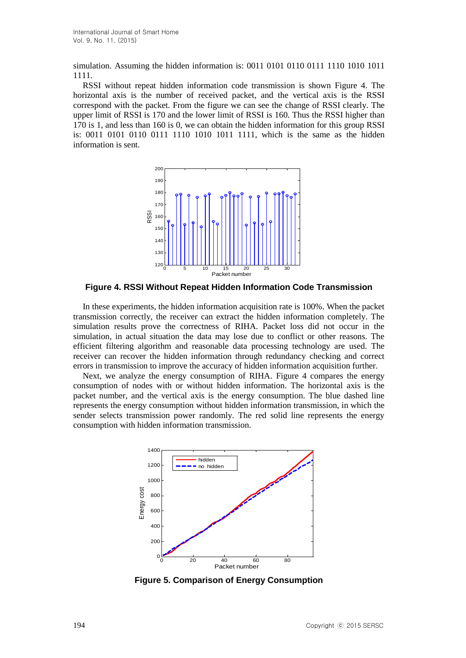simulation. Assuming the hidden information is: 0011 0101 0110 0111 1110 1010 1011 1111.

RSSI without repeat hidden information code transmission is shown Figure 4. The horizontal axis is the number of received packet, and the vertical axis is the RSSI correspond with the packet. From the figure we can see the change of RSSI clearly. The upper limit of RSSI is 170 and the lower limit of RSSI is 160. Thus the RSSI higher than 170 is 1, and less than 160 is 0, we can obtain the hidden information for this group RSSI is: 0011 0101 0110 0111 1110 1010 1011 1111, which is the same as the hidden information is sent.



**Figure 4. RSSI Without Repeat Hidden Information Code Transmission**

In these experiments, the hidden information acquisition rate is 100%. When the packet transmission correctly, the receiver can extract the hidden information completely. The simulation results prove the correctness of RIHA. Packet loss did not occur in the simulation, in actual situation the data may lose due to conflict or other reasons. The efficient filtering algorithm and reasonable data processing technology are used. The receiver can recover the hidden information through redundancy checking and correct errors in transmission to improve the accuracy of hidden information acquisition further.

Next, we analyze the energy consumption of RIHA. Figure 4 compares the energy consumption of nodes with or without hidden information. The horizontal axis is the packet number, and the vertical axis is the energy consumption. The blue dashed line represents the energy consumption without hidden information transmission, in which the sender selects transmission power randomly. The red solid line represents the energy consumption with hidden information transmission.



**Figure 5. Comparison of Energy Consumption**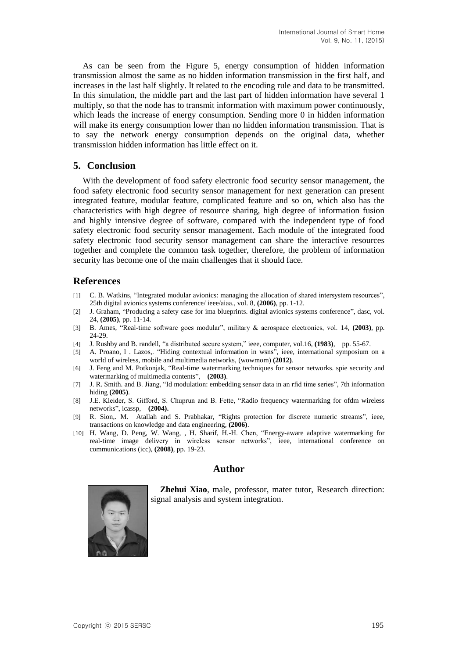As can be seen from the Figure 5, energy consumption of hidden information transmission almost the same as no hidden information transmission in the first half, and increases in the last half slightly. It related to the encoding rule and data to be transmitted. In this simulation, the middle part and the last part of hidden information have several 1 multiply, so that the node has to transmit information with maximum power continuously, which leads the increase of energy consumption. Sending more 0 in hidden information will make its energy consumption lower than no hidden information transmission. That is to say the network energy consumption depends on the original data, whether transmission hidden information has little effect on it.

# **5. Conclusion**

With the development of food safety electronic food security sensor management, the food safety electronic food security sensor management for next generation can present integrated feature, modular feature, complicated feature and so on, which also has the characteristics with high degree of resource sharing, high degree of information fusion and highly intensive degree of software, compared with the independent type of food safety electronic food security sensor management. Each module of the integrated food safety electronic food security sensor management can share the interactive resources together and complete the common task together, therefore, the problem of information security has become one of the main challenges that it should face.

# **References**

- [1] C. B. Watkins, "Integrated modular avionics: managing the allocation of shared intersystem resources", 25th digital avionics systems conference/ ieee/aiaa., vol. 8, **(2006)**, pp. 1-12.
- [2] J. Graham, "Producing a safety case for ima blueprints. digital avionics systems conference", dasc, vol. 24, **(2005)**, pp. 11-14.
- [3] B. Ames, "Real-time software goes modular", military & aerospace electronics, vol. 14, **(2003)**, pp. 24-29.
- [4] J. Rushby and B. randell, "a distributed secure system," ieee, computer, vol.16, **(1983)**, pp. 55-67.
- [5] A. Proano, l . Lazos,. "Hiding contextual information in wsns", ieee, international symposium on a world of wireless, mobile and multimedia networks, (wowmom) **(2012)**.
- [6] J. Feng and M. Potkonjak, "Real-time watermarking techniques for sensor networks. spie security and watermarking of multimedia contents", **(2003)**.
- [7] J. R. Smith. and B. Jiang, "Id modulation: embedding sensor data in an rfid time series", 7th information hiding **(2005)**.
- [8] J.E. Kleider, S. Gifford, S. Chuprun and B. Fette, "Radio frequency watermarking for ofdm wireless networks", icassp, **(2004).**
- [9] R. Sion,. M. Atallah and S. Prabhakar, "Rights protection for discrete numeric streams", ieee, transactions on knowledge and data engineering, **(2006)**.
- [10] H. Wang, D. Peng, W. Wang, , H. Sharif, H.-H. Chen, "Energy-aware adaptive watermarking for real-time image delivery in wireless sensor networks", ieee, international conference on communications (icc), **(2008)**, pp. 19-23.

# **Author**



**Zhehui Xiao**, male, professor, mater tutor, Research direction: signal analysis and system integration.